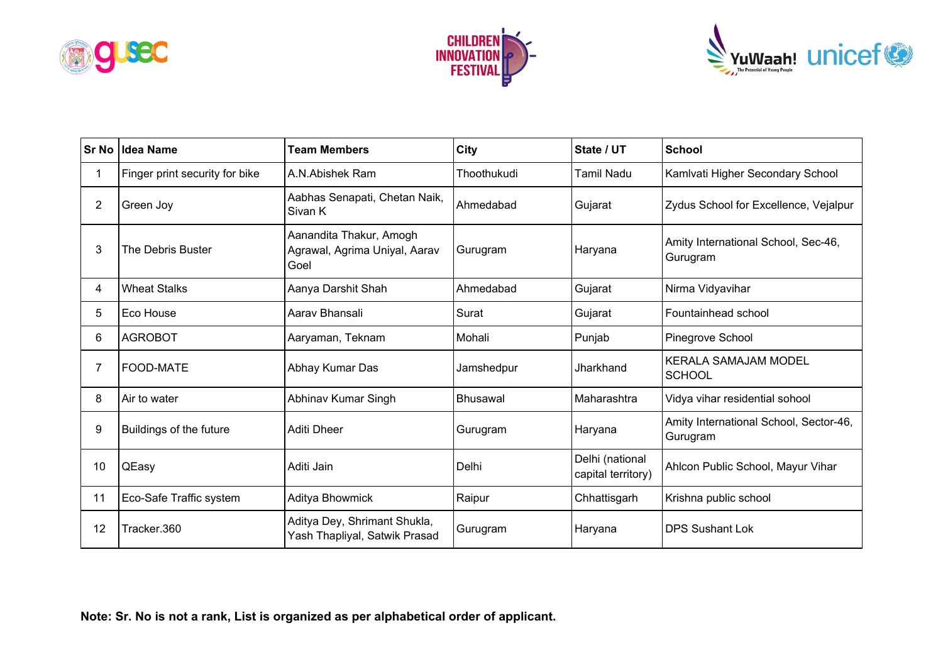





| <b>Sr No</b>   | Idea Name                      | <b>Team Members</b>                                              | <b>City</b>     | State / UT                            | <b>School</b>                                      |
|----------------|--------------------------------|------------------------------------------------------------------|-----------------|---------------------------------------|----------------------------------------------------|
|                | Finger print security for bike | A.N.Abishek Ram                                                  | Thoothukudi     | Tamil Nadu                            | Kamlvati Higher Secondary School                   |
| $\overline{2}$ | Green Joy                      | Aabhas Senapati, Chetan Naik,<br>Sivan K                         | Ahmedabad       | Gujarat                               | Zydus School for Excellence, Vejalpur              |
| 3              | The Debris Buster              | Aanandita Thakur, Amogh<br>Agrawal, Agrima Uniyal, Aarav<br>Goel | Gurugram        | Haryana                               | Amity International School, Sec-46,<br>Gurugram    |
| 4              | <b>Wheat Stalks</b>            | Aanya Darshit Shah                                               | Ahmedabad       | Gujarat                               | Nirma Vidyavihar                                   |
| 5              | Eco House                      | Aarav Bhansali                                                   | Surat           | Gujarat                               | Fountainhead school                                |
| 6              | <b>AGROBOT</b>                 | Aaryaman, Teknam                                                 | Mohali          | Punjab                                | Pinegrove School                                   |
| 7              | <b>FOOD-MATE</b>               | Abhay Kumar Das                                                  | Jamshedpur      | Jharkhand                             | <b>KERALA SAMAJAM MODEL</b><br><b>SCHOOL</b>       |
| 8              | Air to water                   | Abhinav Kumar Singh                                              | <b>Bhusawal</b> | Maharashtra                           | Vidya vihar residential sohool                     |
| 9              | Buildings of the future        | Aditi Dheer                                                      | Gurugram        | Haryana                               | Amity International School, Sector-46,<br>Gurugram |
| 10             | QEasy                          | Aditi Jain                                                       | Delhi           | Delhi (national<br>capital territory) | Ahlcon Public School, Mayur Vihar                  |
| 11             | Eco-Safe Traffic system        | Aditya Bhowmick                                                  | Raipur          | Chhattisgarh                          | Krishna public school                              |
| 12             | Tracker.360                    | Aditya Dey, Shrimant Shukla,<br>Yash Thapliyal, Satwik Prasad    | Gurugram        | Haryana                               | <b>DPS Sushant Lok</b>                             |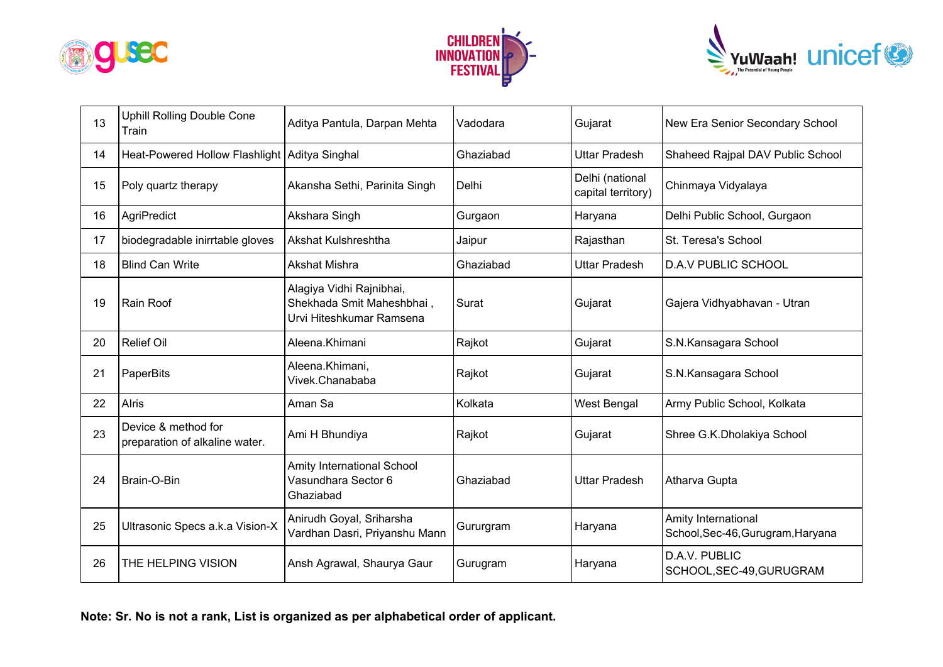





| 13 | <b>Uphill Rolling Double Cone</b><br>Train            | Aditya Pantula, Darpan Mehta                                                      | Vadodara  | Gujarat                               | New Era Senior Secondary School                          |
|----|-------------------------------------------------------|-----------------------------------------------------------------------------------|-----------|---------------------------------------|----------------------------------------------------------|
| 14 | Heat-Powered Hollow Flashlight   Aditya Singhal       |                                                                                   | Ghaziabad | <b>Uttar Pradesh</b>                  | Shaheed Rajpal DAV Public School                         |
| 15 | Poly quartz therapy                                   | Akansha Sethi, Parinita Singh                                                     | Delhi     | Delhi (national<br>capital territory) | Chinmaya Vidyalaya                                       |
| 16 | AgriPredict                                           | Akshara Singh                                                                     | Gurgaon   | Haryana                               | Delhi Public School, Gurgaon                             |
| 17 | biodegradable inirrtable gloves                       | <b>Akshat Kulshreshtha</b>                                                        | Jaipur    | Rajasthan                             | St. Teresa's School                                      |
| 18 | <b>Blind Can Write</b>                                | Akshat Mishra                                                                     | Ghaziabad | <b>Uttar Pradesh</b>                  | <b>D.A.V PUBLIC SCHOOL</b>                               |
| 19 | Rain Roof                                             | Alagiya Vidhi Rajnibhai,<br>Shekhada Smit Maheshbhai,<br>Urvi Hiteshkumar Ramsena | Surat     | Gujarat                               | Gajera Vidhyabhavan - Utran                              |
| 20 | <b>Relief Oil</b>                                     | Aleena.Khimani                                                                    | Rajkot    | Gujarat                               | S.N.Kansagara School                                     |
| 21 | PaperBits                                             | Aleena.Khimani,<br>Vivek.Chanababa                                                | Rajkot    | Gujarat                               | S.N.Kansagara School                                     |
| 22 | <b>Alris</b>                                          | Aman Sa                                                                           | Kolkata   | West Bengal                           | Army Public School, Kolkata                              |
| 23 | Device & method for<br>preparation of alkaline water. | Ami H Bhundiya                                                                    | Rajkot    | Gujarat                               | Shree G.K.Dholakiya School                               |
| 24 | Brain-O-Bin                                           | Amity International School<br>Vasundhara Sector 6<br>Ghaziabad                    | Ghaziabad | <b>Uttar Pradesh</b>                  | Atharva Gupta                                            |
| 25 | Ultrasonic Specs a.k.a Vision-X                       | Anirudh Goyal, Sriharsha<br>Vardhan Dasri, Priyanshu Mann                         | Gururgram | Haryana                               | Amity International<br>School, Sec-46, Gurugram, Haryana |
| 26 | THE HELPING VISION                                    | Ansh Agrawal, Shaurya Gaur                                                        | Gurugram  | Haryana                               | D.A.V. PUBLIC<br>SCHOOL, SEC-49, GURUGRAM                |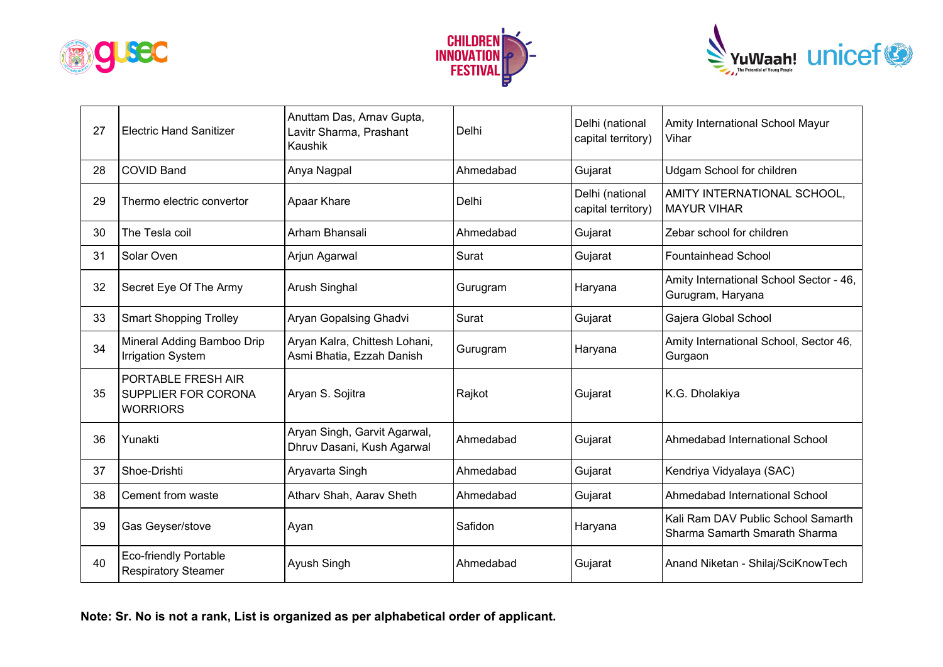





| 27 | <b>Electric Hand Sanitizer</b>                                      | Anuttam Das, Arnav Gupta,<br>Lavitr Sharma, Prashant<br>Kaushik | Delhi     | Delhi (national<br>capital territory) | Amity International School Mayur<br>Vihar                           |
|----|---------------------------------------------------------------------|-----------------------------------------------------------------|-----------|---------------------------------------|---------------------------------------------------------------------|
| 28 | <b>COVID Band</b>                                                   | Anya Nagpal                                                     | Ahmedabad | Gujarat                               | Udgam School for children                                           |
| 29 | Thermo electric convertor                                           | Apaar Khare                                                     | Delhi     | Delhi (national<br>capital territory) | AMITY INTERNATIONAL SCHOOL,<br><b>MAYUR VIHAR</b>                   |
| 30 | The Tesla coil                                                      | Arham Bhansali                                                  | Ahmedabad | Gujarat                               | Zebar school for children                                           |
| 31 | Solar Oven                                                          | Arjun Agarwal                                                   | Surat     | Gujarat                               | <b>Fountainhead School</b>                                          |
| 32 | Secret Eye Of The Army                                              | Arush Singhal                                                   | Gurugram  | Haryana                               | Amity International School Sector - 46,<br>Gurugram, Haryana        |
| 33 | <b>Smart Shopping Trolley</b>                                       | Aryan Gopalsing Ghadvi                                          | Surat     | Gujarat                               | Gajera Global School                                                |
| 34 | Mineral Adding Bamboo Drip<br><b>Irrigation System</b>              | Aryan Kalra, Chittesh Lohani,<br>Asmi Bhatia, Ezzah Danish      | Gurugram  | Haryana                               | Amity International School, Sector 46,<br>Gurgaon                   |
| 35 | PORTABLE FRESH AIR<br><b>SUPPLIER FOR CORONA</b><br><b>WORRIORS</b> | Aryan S. Sojitra                                                | Rajkot    | Gujarat                               | K.G. Dholakiya                                                      |
| 36 | Yunakti                                                             | Aryan Singh, Garvit Agarwal,<br>Dhruv Dasani, Kush Agarwal      | Ahmedabad | Gujarat                               | Ahmedabad International School                                      |
| 37 | Shoe-Drishti                                                        | Aryavarta Singh                                                 | Ahmedabad | Gujarat                               | Kendriya Vidyalaya (SAC)                                            |
| 38 | Cement from waste                                                   | Atharv Shah, Aarav Sheth                                        | Ahmedabad | Gujarat                               | Ahmedabad International School                                      |
| 39 | Gas Geyser/stove                                                    | Ayan                                                            | Safidon   | Haryana                               | Kali Ram DAV Public School Samarth<br>Sharma Samarth Smarath Sharma |
| 40 | <b>Eco-friendly Portable</b><br><b>Respiratory Steamer</b>          | Ayush Singh                                                     | Ahmedabad | Gujarat                               | Anand Niketan - Shilaj/SciKnowTech                                  |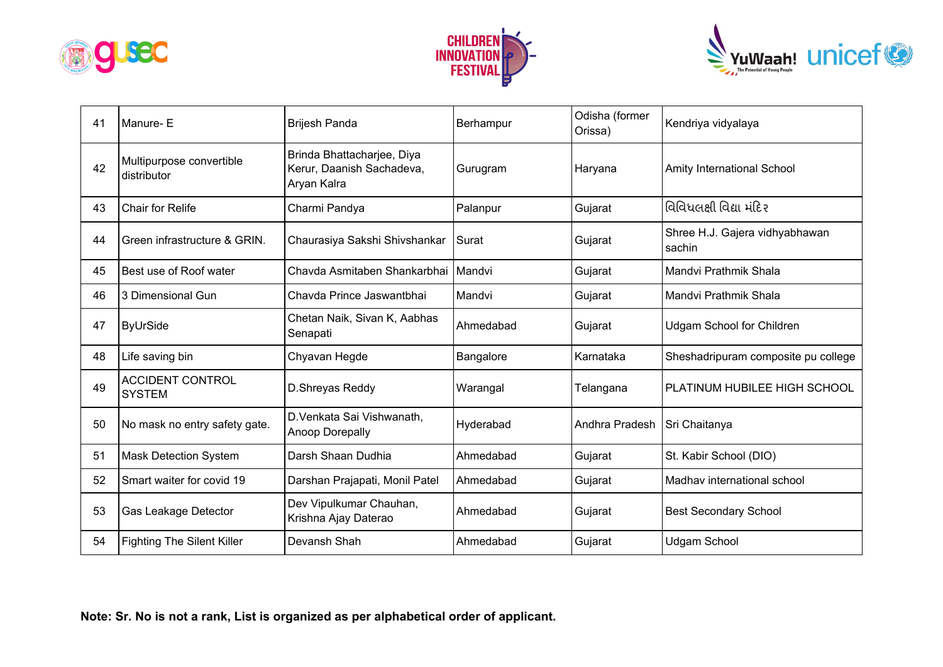





| 41 | Manure-E                                 | <b>Brijesh Panda</b>                                                   | Berhampur | Odisha (former<br>Orissa) | Kendriya vidyalaya                       |
|----|------------------------------------------|------------------------------------------------------------------------|-----------|---------------------------|------------------------------------------|
| 42 | Multipurpose convertible<br>distributor  | Brinda Bhattacharjee, Diya<br>Kerur, Daanish Sachadeva,<br>Aryan Kalra | Gurugram  | Haryana                   | Amity International School               |
| 43 | Chair for Relife                         | Charmi Pandya                                                          | Palanpur  | Gujarat                   | વિવિધલક્ષી વિદ્યા મંદિર                  |
| 44 | Green infrastructure & GRIN.             | Chaurasiya Sakshi Shivshankar                                          | Surat     | Gujarat                   | Shree H.J. Gajera vidhyabhawan<br>sachin |
| 45 | Best use of Roof water                   | Chavda Asmitaben Shankarbhai                                           | Mandvi    | Gujarat                   | Mandvi Prathmik Shala                    |
| 46 | 3 Dimensional Gun                        | Chavda Prince Jaswantbhai                                              | Mandvi    | Gujarat                   | Mandvi Prathmik Shala                    |
| 47 | <b>ByUrSide</b>                          | Chetan Naik, Sivan K, Aabhas<br>Senapati                               | Ahmedabad | Gujarat                   | <b>Udgam School for Children</b>         |
| 48 | Life saving bin                          | Chyavan Hegde                                                          | Bangalore | Karnataka                 | Sheshadripuram composite pu college      |
| 49 | <b>ACCIDENT CONTROL</b><br><b>SYSTEM</b> | D.Shreyas Reddy                                                        | Warangal  | Telangana                 | PLATINUM HUBILEE HIGH SCHOOL             |
| 50 | No mask no entry safety gate.            | D.Venkata Sai Vishwanath,<br>Anoop Dorepally                           | Hyderabad | Andhra Pradesh            | Sri Chaitanya                            |
| 51 | <b>Mask Detection System</b>             | Darsh Shaan Dudhia                                                     | Ahmedabad | Gujarat                   | St. Kabir School (DIO)                   |
| 52 | Smart waiter for covid 19                | Darshan Prajapati, Monil Patel                                         | Ahmedabad | Gujarat                   | Madhav international school              |
| 53 | Gas Leakage Detector                     | Dev Vipulkumar Chauhan,<br>Krishna Ajay Daterao                        | Ahmedabad | Gujarat                   | <b>Best Secondary School</b>             |
| 54 | <b>Fighting The Silent Killer</b>        | Devansh Shah                                                           | Ahmedabad | Gujarat                   | <b>Udgam School</b>                      |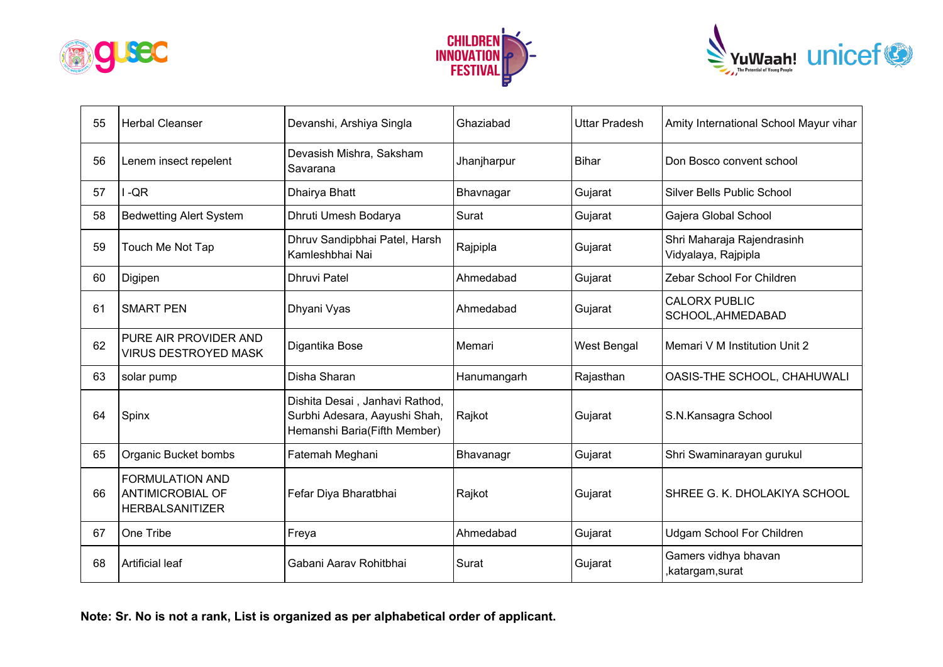





| 55 | <b>Herbal Cleanser</b>                                                      | Devanshi, Arshiya Singla                                                                        | Ghaziabad   | <b>Uttar Pradesh</b> | Amity International School Mayur vihar            |
|----|-----------------------------------------------------------------------------|-------------------------------------------------------------------------------------------------|-------------|----------------------|---------------------------------------------------|
| 56 | Lenem insect repelent                                                       | Devasish Mishra, Saksham<br>Savarana                                                            | Jhanjharpur | Bihar                | Don Bosco convent school                          |
| 57 | $-QR$                                                                       | Dhairya Bhatt                                                                                   | Bhavnagar   | Gujarat              | Silver Bells Public School                        |
| 58 | <b>Bedwetting Alert System</b>                                              | Dhruti Umesh Bodarya                                                                            | Surat       | Gujarat              | Gajera Global School                              |
| 59 | Touch Me Not Tap                                                            | Dhruv Sandipbhai Patel, Harsh<br>Kamleshbhai Nai                                                | Rajpipla    | Gujarat              | Shri Maharaja Rajendrasinh<br>Vidyalaya, Rajpipla |
| 60 | Digipen                                                                     | <b>Dhruvi Patel</b>                                                                             | Ahmedabad   | Gujarat              | Zebar School For Children                         |
| 61 | <b>SMART PEN</b>                                                            | Dhyani Vyas                                                                                     | Ahmedabad   | Gujarat              | <b>CALORX PUBLIC</b><br>SCHOOL, AHMEDABAD         |
| 62 | PURE AIR PROVIDER AND<br><b>VIRUS DESTROYED MASK</b>                        | Digantika Bose                                                                                  | Memari      | <b>West Bengal</b>   | Memari V M Institution Unit 2                     |
| 63 | solar pump                                                                  | Disha Sharan                                                                                    | Hanumangarh | Rajasthan            | OASIS-THE SCHOOL, CHAHUWALI                       |
| 64 | Spinx                                                                       | Dishita Desai, Janhavi Rathod,<br>Surbhi Adesara, Aayushi Shah,<br>Hemanshi Baria(Fifth Member) | Rajkot      | Gujarat              | S.N.Kansagra School                               |
| 65 | Organic Bucket bombs                                                        | Fatemah Meghani                                                                                 | Bhavanagr   | Gujarat              | Shri Swaminarayan gurukul                         |
| 66 | <b>FORMULATION AND</b><br><b>ANTIMICROBIAL OF</b><br><b>HERBALSANITIZER</b> | Fefar Diya Bharatbhai                                                                           | Rajkot      | Gujarat              | SHREE G. K. DHOLAKIYA SCHOOL                      |
| 67 | One Tribe                                                                   | Freya                                                                                           | Ahmedabad   | Gujarat              | <b>Udgam School For Children</b>                  |
| 68 | <b>Artificial leaf</b>                                                      | Gabani Aarav Rohitbhai                                                                          | Surat       | Gujarat              | Gamers vidhya bhavan<br>,katargam,surat           |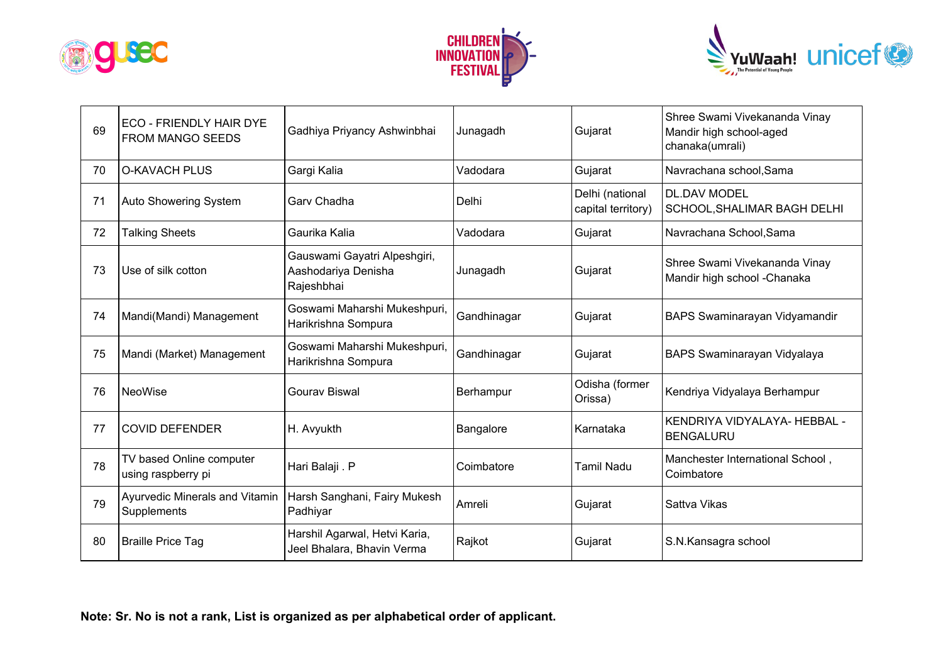





| 69 | ECO - FRIENDLY HAIR DYE<br><b>FROM MANGO SEEDS</b> | Gadhiya Priyancy Ashwinbhai                                       | Junagadh    | Gujarat                               | Shree Swami Vivekananda Vinay<br>Mandir high school-aged<br>chanaka(umrali) |
|----|----------------------------------------------------|-------------------------------------------------------------------|-------------|---------------------------------------|-----------------------------------------------------------------------------|
| 70 | <b>O-KAVACH PLUS</b>                               | Gargi Kalia                                                       | Vadodara    | Gujarat                               | Navrachana school, Sama                                                     |
| 71 | Auto Showering System                              | Garv Chadha                                                       | Delhi       | Delhi (national<br>capital territory) | <b>DL.DAV MODEL</b><br>SCHOOL, SHALIMAR BAGH DELHI                          |
| 72 | <b>Talking Sheets</b>                              | Gaurika Kalia                                                     | Vadodara    | Gujarat                               | Navrachana School, Sama                                                     |
| 73 | Use of silk cotton                                 | Gauswami Gayatri Alpeshgiri,<br>Aashodariya Denisha<br>Rajeshbhai | Junagadh    | Gujarat                               | Shree Swami Vivekananda Vinay<br>Mandir high school - Chanaka               |
| 74 | Mandi(Mandi) Management                            | Goswami Maharshi Mukeshpuri,<br>Harikrishna Sompura               | Gandhinagar | Gujarat                               | BAPS Swaminarayan Vidyamandir                                               |
| 75 | Mandi (Market) Management                          | Goswami Maharshi Mukeshpuri,<br>Harikrishna Sompura               | Gandhinagar | Gujarat                               | BAPS Swaminarayan Vidyalaya                                                 |
| 76 | <b>NeoWise</b>                                     | <b>Gourav Biswal</b>                                              | Berhampur   | Odisha (former<br>Orissa)             | Kendriya Vidyalaya Berhampur                                                |
| 77 | <b>COVID DEFENDER</b>                              | H. Avyukth                                                        | Bangalore   | Karnataka                             | KENDRIYA VIDYALAYA- HEBBAL -<br><b>BENGALURU</b>                            |
| 78 | TV based Online computer<br>using raspberry pi     | Hari Balaji . P                                                   | Coimbatore  | Tamil Nadu                            | Manchester International School,<br>Coimbatore                              |
| 79 | Ayurvedic Minerals and Vitamin<br>Supplements      | Harsh Sanghani, Fairy Mukesh<br>Padhiyar                          | Amreli      | Gujarat                               | Sattva Vikas                                                                |
| 80 | <b>Braille Price Tag</b>                           | Harshil Agarwal, Hetvi Karia,<br>Jeel Bhalara, Bhavin Verma       | Rajkot      | Gujarat                               | S.N.Kansagra school                                                         |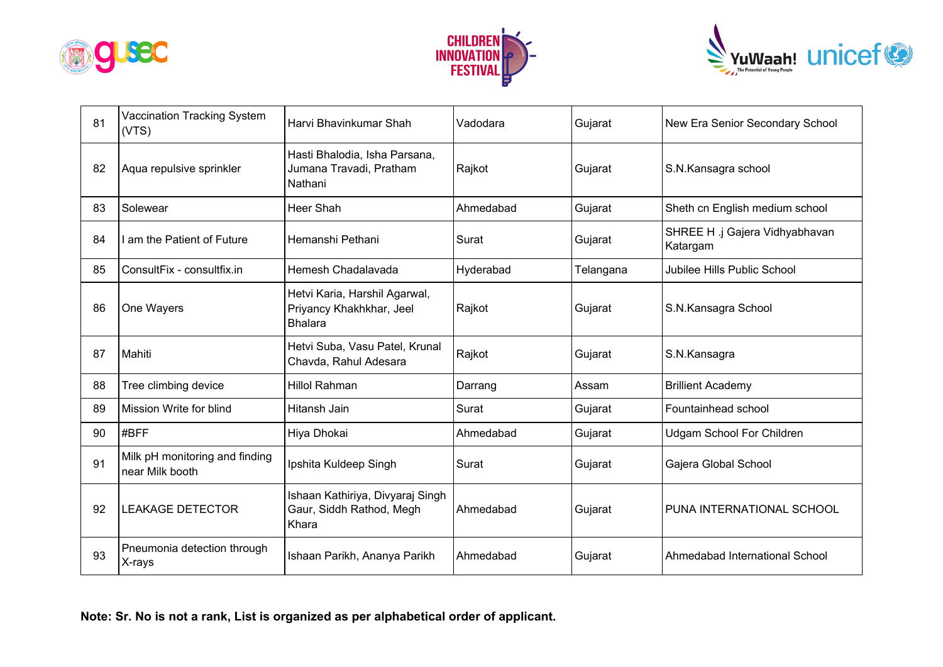





| 81 | Vaccination Tracking System<br>(VTS)              | Harvi Bhavinkumar Shah                                                      | Vadodara  | Gujarat   | New Era Senior Secondary School            |
|----|---------------------------------------------------|-----------------------------------------------------------------------------|-----------|-----------|--------------------------------------------|
| 82 | Aqua repulsive sprinkler                          | Hasti Bhalodia, Isha Parsana,<br>Jumana Travadi, Pratham<br>Nathani         | Rajkot    | Gujarat   | S.N.Kansagra school                        |
| 83 | Solewear                                          | Heer Shah                                                                   | Ahmedabad | Gujarat   | Sheth cn English medium school             |
| 84 | I am the Patient of Future                        | Hemanshi Pethani                                                            | Surat     | Gujarat   | SHREE H .j Gajera Vidhyabhavan<br>Katargam |
| 85 | ConsultFix - consultfix.in                        | Hemesh Chadalavada                                                          | Hyderabad | Telangana | Jubilee Hills Public School                |
| 86 | One Wayers                                        | Hetvi Karia, Harshil Agarwal,<br>Priyancy Khakhkhar, Jeel<br><b>Bhalara</b> | Rajkot    | Gujarat   | S.N.Kansagra School                        |
| 87 | Mahiti                                            | Hetvi Suba, Vasu Patel, Krunal<br>Chavda, Rahul Adesara                     | Rajkot    | Gujarat   | S.N.Kansagra                               |
| 88 | Tree climbing device                              | <b>Hillol Rahman</b>                                                        | Darrang   | Assam     | <b>Brillient Academy</b>                   |
| 89 | Mission Write for blind                           | Hitansh Jain                                                                | Surat     | Gujarat   | Fountainhead school                        |
| 90 | #BFF                                              | Hiya Dhokai                                                                 | Ahmedabad | Gujarat   | <b>Udgam School For Children</b>           |
| 91 | Milk pH monitoring and finding<br>near Milk booth | Ipshita Kuldeep Singh                                                       | Surat     | Gujarat   | Gajera Global School                       |
| 92 | <b>LEAKAGE DETECTOR</b>                           | Ishaan Kathiriya, Divyaraj Singh<br>Gaur, Siddh Rathod, Megh<br>Khara       | Ahmedabad | Gujarat   | PUNA INTERNATIONAL SCHOOL                  |
| 93 | Pneumonia detection through<br>X-rays             | Ishaan Parikh, Ananya Parikh                                                | Ahmedabad | Gujarat   | Ahmedabad International School             |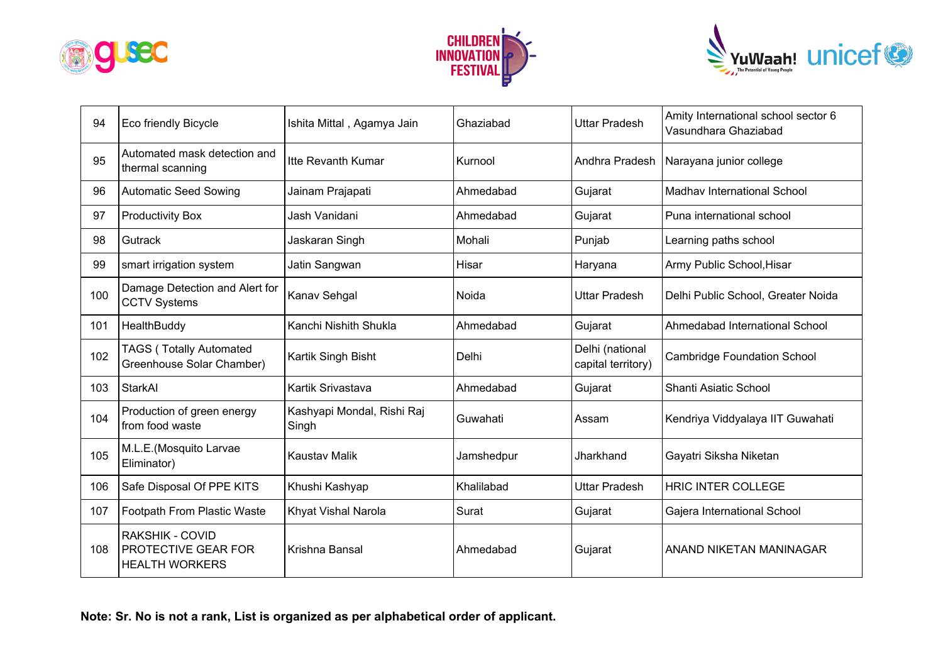





| 94  | <b>Eco friendly Bicycle</b>                                            | Ishita Mittal, Agamya Jain          | Ghaziabad  | <b>Uttar Pradesh</b>                  | Amity International school sector 6<br>Vasundhara Ghaziabad |
|-----|------------------------------------------------------------------------|-------------------------------------|------------|---------------------------------------|-------------------------------------------------------------|
| 95  | Automated mask detection and<br>thermal scanning                       | Itte Revanth Kumar                  | Kurnool    | Andhra Pradesh                        | Narayana junior college                                     |
| 96  | <b>Automatic Seed Sowing</b>                                           | Jainam Prajapati                    | Ahmedabad  | Gujarat                               | Madhav International School                                 |
| 97  | <b>Productivity Box</b>                                                | Jash Vanidani                       | Ahmedabad  | Gujarat                               | Puna international school                                   |
| 98  | Gutrack                                                                | Jaskaran Singh                      | Mohali     | Punjab                                | Learning paths school                                       |
| 99  | smart irrigation system                                                | Jatin Sangwan                       | Hisar      | Haryana                               | Army Public School, Hisar                                   |
| 100 | Damage Detection and Alert for<br><b>CCTV Systems</b>                  | Kanav Sehgal                        | Noida      | <b>Uttar Pradesh</b>                  | Delhi Public School, Greater Noida                          |
| 101 | HealthBuddy                                                            | Kanchi Nishith Shukla               | Ahmedabad  | Gujarat                               | Ahmedabad International School                              |
| 102 | <b>TAGS (Totally Automated</b><br>Greenhouse Solar Chamber)            | Kartik Singh Bisht                  | Delhi      | Delhi (national<br>capital territory) | <b>Cambridge Foundation School</b>                          |
| 103 | StarkAl                                                                | Kartik Srivastava                   | Ahmedabad  | Gujarat                               | Shanti Asiatic School                                       |
| 104 | Production of green energy<br>from food waste                          | Kashyapi Mondal, Rishi Raj<br>Singh | Guwahati   | Assam                                 | Kendriya Viddyalaya IIT Guwahati                            |
| 105 | M.L.E.(Mosquito Larvae<br>Eliminator)                                  | <b>Kaustav Malik</b>                | Jamshedpur | Jharkhand                             | Gayatri Siksha Niketan                                      |
| 106 | Safe Disposal Of PPE KITS                                              | Khushi Kashyap                      | Khalilabad | <b>Uttar Pradesh</b>                  | <b>HRIC INTER COLLEGE</b>                                   |
| 107 | Footpath From Plastic Waste                                            | Khyat Vishal Narola                 | Surat      | Gujarat                               | Gajera International School                                 |
| 108 | RAKSHIK - COVID<br><b>PROTECTIVE GEAR FOR</b><br><b>HEALTH WORKERS</b> | Krishna Bansal                      | Ahmedabad  | Gujarat                               | ANAND NIKETAN MANINAGAR                                     |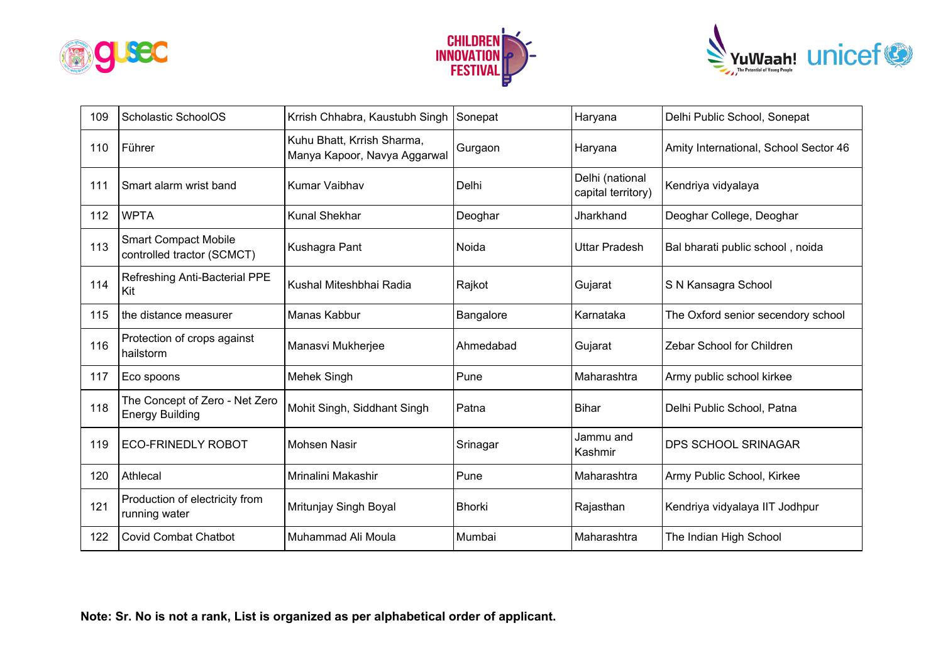





| 109 | Scholastic SchoolOS                                       | Krrish Chhabra, Kaustubh Singh                             | Sonepat       | Haryana                               | Delhi Public School, Sonepat          |
|-----|-----------------------------------------------------------|------------------------------------------------------------|---------------|---------------------------------------|---------------------------------------|
| 110 | Führer                                                    | Kuhu Bhatt, Krrish Sharma,<br>Manya Kapoor, Navya Aggarwal | Gurgaon       | Haryana                               | Amity International, School Sector 46 |
| 111 | Smart alarm wrist band                                    | Kumar Vaibhav                                              | Delhi         | Delhi (national<br>capital territory) | Kendriya vidyalaya                    |
| 112 | <b>WPTA</b>                                               | Kunal Shekhar                                              | Deoghar       | Jharkhand                             | Deoghar College, Deoghar              |
| 113 | <b>Smart Compact Mobile</b><br>controlled tractor (SCMCT) | Kushagra Pant                                              | Noida         | <b>Uttar Pradesh</b>                  | Bal bharati public school, noida      |
| 114 | Refreshing Anti-Bacterial PPE<br>Kit                      | Kushal Miteshbhai Radia                                    | Rajkot        | Gujarat                               | S N Kansagra School                   |
| 115 | the distance measurer                                     | Manas Kabbur                                               | Bangalore     | Karnataka                             | The Oxford senior secendory school    |
| 116 | Protection of crops against<br>hailstorm                  | Manasvi Mukherjee                                          | Ahmedabad     | Gujarat                               | Zebar School for Children             |
| 117 | Eco spoons                                                | Mehek Singh                                                | Pune          | Maharashtra                           | Army public school kirkee             |
| 118 | The Concept of Zero - Net Zero<br><b>Energy Building</b>  | Mohit Singh, Siddhant Singh                                | Patna         | <b>Bihar</b>                          | Delhi Public School, Patna            |
| 119 | <b>ECO-FRINEDLY ROBOT</b>                                 | <b>Mohsen Nasir</b>                                        | Srinagar      | Jammu and<br>Kashmir                  | <b>DPS SCHOOL SRINAGAR</b>            |
| 120 | Athlecal                                                  | Mrinalini Makashir                                         | Pune          | Maharashtra                           | Army Public School, Kirkee            |
| 121 | Production of electricity from<br>running water           | Mritunjay Singh Boyal                                      | <b>Bhorki</b> | Rajasthan                             | Kendriya vidyalaya IIT Jodhpur        |
| 122 | <b>Covid Combat Chatbot</b>                               | Muhammad Ali Moula                                         | Mumbai        | Maharashtra                           | The Indian High School                |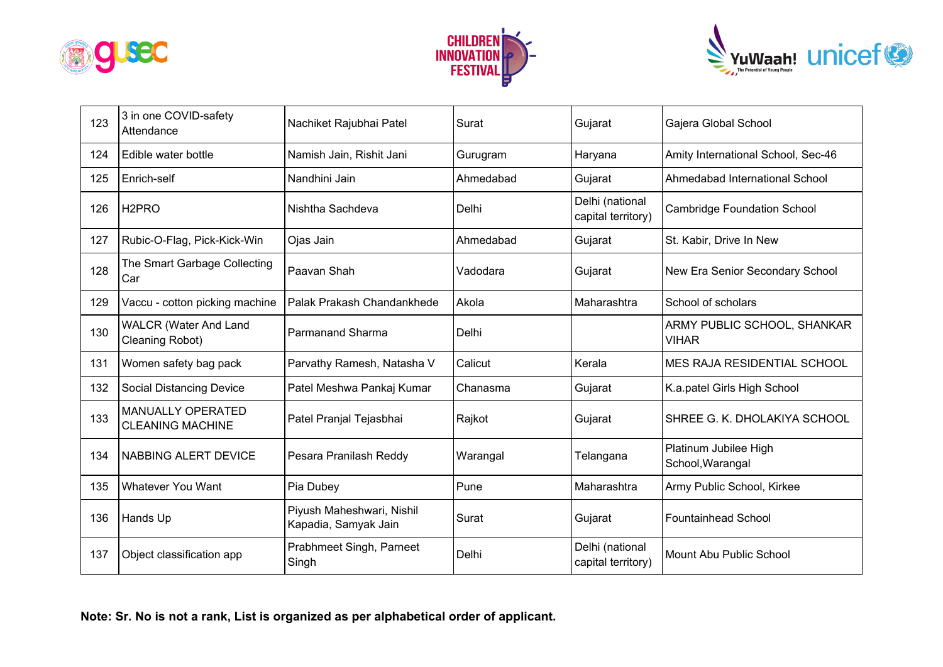





| 123 | 3 in one COVID-safety<br>Attendance                 | Nachiket Rajubhai Patel                           | Surat     | Gujarat                               | Gajera Global School                        |
|-----|-----------------------------------------------------|---------------------------------------------------|-----------|---------------------------------------|---------------------------------------------|
| 124 | Edible water bottle                                 | Namish Jain, Rishit Jani                          | Gurugram  | Haryana                               | Amity International School, Sec-46          |
| 125 | Enrich-self                                         | Nandhini Jain                                     | Ahmedabad | Gujarat                               | Ahmedabad International School              |
| 126 | H <sub>2</sub> PRO                                  | Nishtha Sachdeva                                  | Delhi     | Delhi (national<br>capital territory) | <b>Cambridge Foundation School</b>          |
| 127 | Rubic-O-Flag, Pick-Kick-Win                         | Ojas Jain                                         | Ahmedabad | Gujarat                               | St. Kabir, Drive In New                     |
| 128 | The Smart Garbage Collecting<br>Car                 | Paavan Shah                                       | Vadodara  | Gujarat                               | New Era Senior Secondary School             |
| 129 | Vaccu - cotton picking machine                      | Palak Prakash Chandankhede                        | Akola     | Maharashtra                           | School of scholars                          |
| 130 | <b>WALCR (Water And Land</b><br>Cleaning Robot)     | <b>Parmanand Sharma</b>                           | Delhi     |                                       | ARMY PUBLIC SCHOOL, SHANKAR<br><b>VIHAR</b> |
| 131 | Women safety bag pack                               | Parvathy Ramesh, Natasha V                        | Calicut   | Kerala                                | <b>MES RAJA RESIDENTIAL SCHOOL</b>          |
| 132 | <b>Social Distancing Device</b>                     | Patel Meshwa Pankaj Kumar                         | Chanasma  | Gujarat                               | K.a.patel Girls High School                 |
| 133 | <b>MANUALLY OPERATED</b><br><b>CLEANING MACHINE</b> | Patel Pranjal Tejasbhai                           | Rajkot    | Gujarat                               | SHREE G. K. DHOLAKIYA SCHOOL                |
| 134 | <b>NABBING ALERT DEVICE</b>                         | Pesara Pranilash Reddy                            | Warangal  | Telangana                             | Platinum Jubilee High<br>School, Warangal   |
| 135 | <b>Whatever You Want</b>                            | Pia Dubey                                         | Pune      | Maharashtra                           | Army Public School, Kirkee                  |
| 136 | Hands Up                                            | Piyush Maheshwari, Nishil<br>Kapadia, Samyak Jain | Surat     | Gujarat                               | <b>Fountainhead School</b>                  |
| 137 | Object classification app                           | Prabhmeet Singh, Parneet<br>Singh                 | Delhi     | Delhi (national<br>capital territory) | Mount Abu Public School                     |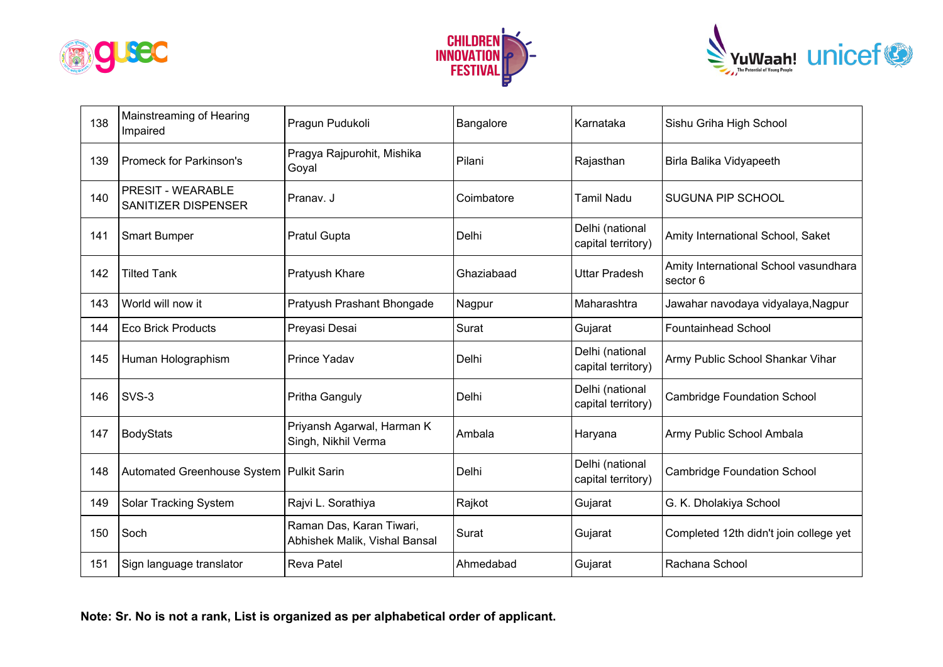





| 138 | Mainstreaming of Hearing<br>Impaired            | Pragun Pudukoli                                           | Bangalore  | Karnataka                             | Sishu Griha High School                           |
|-----|-------------------------------------------------|-----------------------------------------------------------|------------|---------------------------------------|---------------------------------------------------|
| 139 | <b>Promeck for Parkinson's</b>                  | Pragya Rajpurohit, Mishika<br>Goyal                       | Pilani     | Rajasthan                             | Birla Balika Vidyapeeth                           |
| 140 | <b>PRESIT - WEARABLE</b><br>SANITIZER DISPENSER | Pranav. J                                                 | Coimbatore | <b>Tamil Nadu</b>                     | <b>SUGUNA PIP SCHOOL</b>                          |
| 141 | <b>Smart Bumper</b>                             | <b>Pratul Gupta</b>                                       | Delhi      | Delhi (national<br>capital territory) | Amity International School, Saket                 |
| 142 | <b>Tilted Tank</b>                              | Pratyush Khare                                            | Ghaziabaad | <b>Uttar Pradesh</b>                  | Amity International School vasundhara<br>sector 6 |
| 143 | World will now it                               | Pratyush Prashant Bhongade                                | Nagpur     | Maharashtra                           | Jawahar navodaya vidyalaya, Nagpur                |
| 144 | <b>Eco Brick Products</b>                       | Preyasi Desai                                             | Surat      | Gujarat                               | <b>Fountainhead School</b>                        |
| 145 | Human Holographism                              | Prince Yadav                                              | Delhi      | Delhi (national<br>capital territory) | Army Public School Shankar Vihar                  |
| 146 | SVS-3                                           | Pritha Ganguly                                            | Delhi      | Delhi (national<br>capital territory) | <b>Cambridge Foundation School</b>                |
| 147 | BodyStats                                       | Priyansh Agarwal, Harman K<br>Singh, Nikhil Verma         | Ambala     | Haryana                               | Army Public School Ambala                         |
| 148 | Automated Greenhouse System                     | <b>Pulkit Sarin</b>                                       | Delhi      | Delhi (national<br>capital territory) | <b>Cambridge Foundation School</b>                |
| 149 | Solar Tracking System                           | Rajvi L. Sorathiya                                        | Rajkot     | Gujarat                               | G. K. Dholakiya School                            |
| 150 | Soch                                            | Raman Das, Karan Tiwari,<br>Abhishek Malik, Vishal Bansal | Surat      | Gujarat                               | Completed 12th didn't join college yet            |
| 151 | Sign language translator                        | <b>Reva Patel</b>                                         | Ahmedabad  | Gujarat                               | Rachana School                                    |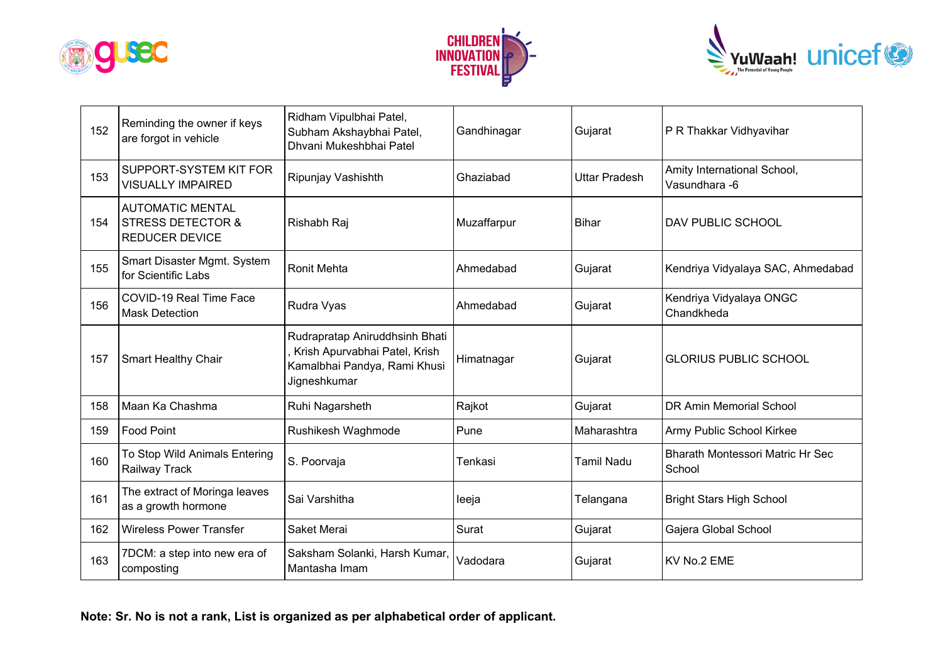





| 152 | Reminding the owner if keys<br>are forgot in vehicle                             | Ridham Vipulbhai Patel,<br>Subham Akshaybhai Patel,<br>Dhvani Mukeshbhai Patel                                  | Gandhinagar | Gujarat              | P R Thakkar Vidhyavihar                           |
|-----|----------------------------------------------------------------------------------|-----------------------------------------------------------------------------------------------------------------|-------------|----------------------|---------------------------------------------------|
| 153 | SUPPORT-SYSTEM KIT FOR<br><b>VISUALLY IMPAIRED</b>                               | Ripunjay Vashishth                                                                                              | Ghaziabad   | <b>Uttar Pradesh</b> | Amity International School,<br>Vasundhara - 6     |
| 154 | <b>AUTOMATIC MENTAL</b><br><b>STRESS DETECTOR &amp;</b><br><b>REDUCER DEVICE</b> | Rishabh Raj                                                                                                     | Muzaffarpur | <b>Bihar</b>         | DAV PUBLIC SCHOOL                                 |
| 155 | Smart Disaster Mgmt. System<br>for Scientific Labs                               | <b>Ronit Mehta</b>                                                                                              | Ahmedabad   | Gujarat              | Kendriya Vidyalaya SAC, Ahmedabad                 |
| 156 | COVID-19 Real Time Face<br><b>Mask Detection</b>                                 | Rudra Vyas                                                                                                      | Ahmedabad   | Gujarat              | Kendriya Vidyalaya ONGC<br>Chandkheda             |
| 157 | <b>Smart Healthy Chair</b>                                                       | Rudrapratap Aniruddhsinh Bhati<br>Krish Apurvabhai Patel, Krish<br>Kamalbhai Pandya, Rami Khusi<br>Jigneshkumar | Himatnagar  | Gujarat              | <b>GLORIUS PUBLIC SCHOOL</b>                      |
| 158 | Maan Ka Chashma                                                                  | Ruhi Nagarsheth                                                                                                 | Rajkot      | Gujarat              | DR Amin Memorial School                           |
| 159 | Food Point                                                                       | Rushikesh Waghmode                                                                                              | Pune        | Maharashtra          | Army Public School Kirkee                         |
| 160 | To Stop Wild Animals Entering<br>Railway Track                                   | S. Poorvaja                                                                                                     | Tenkasi     | Tamil Nadu           | <b>Bharath Montessori Matric Hr Sec</b><br>School |
| 161 | The extract of Moringa leaves<br>as a growth hormone                             | Sai Varshitha                                                                                                   | leeja       | Telangana            | <b>Bright Stars High School</b>                   |
| 162 | <b>Wireless Power Transfer</b>                                                   | Saket Merai                                                                                                     | Surat       | Gujarat              | Gajera Global School                              |
| 163 | 7DCM: a step into new era of<br>composting                                       | Saksham Solanki, Harsh Kumar,<br>Mantasha Imam                                                                  | Vadodara    | Gujarat              | KV No.2 EME                                       |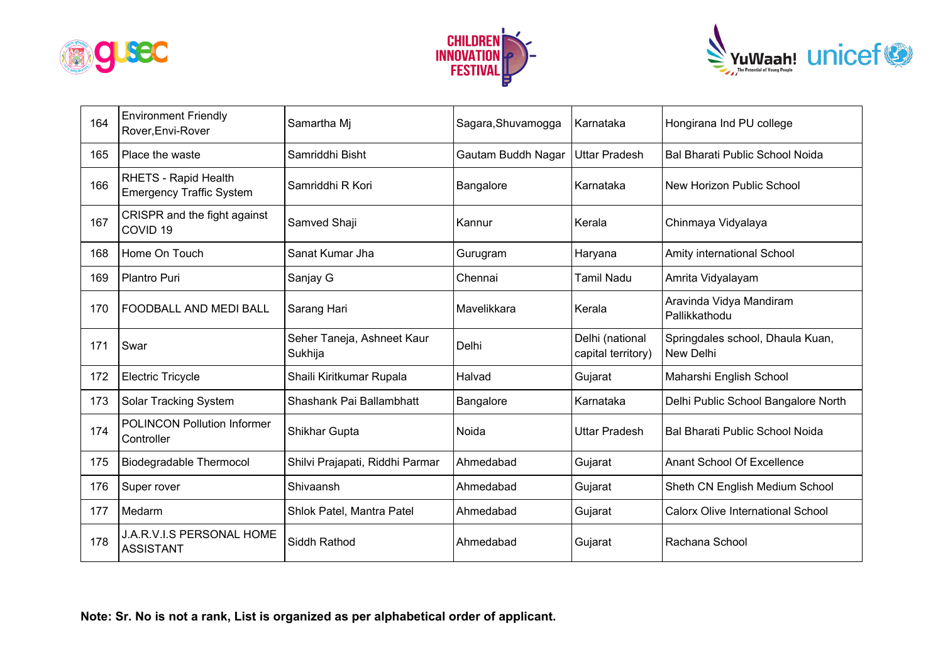





| 164 | <b>Environment Friendly</b><br>Rover, Envi-Rover        | Samartha Mi                           | Sagara, Shuvamogga | Karnataka                             | Hongirana Ind PU college                      |
|-----|---------------------------------------------------------|---------------------------------------|--------------------|---------------------------------------|-----------------------------------------------|
| 165 | Place the waste                                         | Samriddhi Bisht                       | Gautam Buddh Nagar | <b>Uttar Pradesh</b>                  | Bal Bharati Public School Noida               |
| 166 | RHETS - Rapid Health<br><b>Emergency Traffic System</b> | Samriddhi R Kori                      | Bangalore          | Karnataka                             | New Horizon Public School                     |
| 167 | CRISPR and the fight against<br>COVID <sub>19</sub>     | Samved Shaji                          | Kannur             | Kerala                                | Chinmaya Vidyalaya                            |
| 168 | Home On Touch                                           | Sanat Kumar Jha                       | Gurugram           | Haryana                               | Amity international School                    |
| 169 | Plantro Puri                                            | Sanjay G                              | Chennai            | Tamil Nadu                            | Amrita Vidyalayam                             |
| 170 | <b>FOODBALL AND MEDI BALL</b>                           | Sarang Hari                           | Mavelikkara        | Kerala                                | Aravinda Vidya Mandiram<br>Pallikkathodu      |
| 171 | Swar                                                    | Seher Taneja, Ashneet Kaur<br>Sukhija | Delhi              | Delhi (national<br>capital territory) | Springdales school, Dhaula Kuan,<br>New Delhi |
| 172 | <b>Electric Tricycle</b>                                | Shaili Kiritkumar Rupala              | Halvad             | Gujarat                               | Maharshi English School                       |
| 173 | Solar Tracking System                                   | Shashank Pai Ballambhatt              | Bangalore          | Karnataka                             | Delhi Public School Bangalore North           |
| 174 | <b>POLINCON Pollution Informer</b><br>Controller        | Shikhar Gupta                         | Noida              | <b>Uttar Pradesh</b>                  | Bal Bharati Public School Noida               |
| 175 | <b>Biodegradable Thermocol</b>                          | Shilvi Prajapati, Riddhi Parmar       | Ahmedabad          | Gujarat                               | Anant School Of Excellence                    |
| 176 | Super rover                                             | Shivaansh                             | Ahmedabad          | Gujarat                               | Sheth CN English Medium School                |
| 177 | Medarm                                                  | Shlok Patel, Mantra Patel             | Ahmedabad          | Gujarat                               | <b>Calorx Olive International School</b>      |
| 178 | J.A.R.V.I.S PERSONAL HOME<br><b>ASSISTANT</b>           | Siddh Rathod                          | Ahmedabad          | Gujarat                               | Rachana School                                |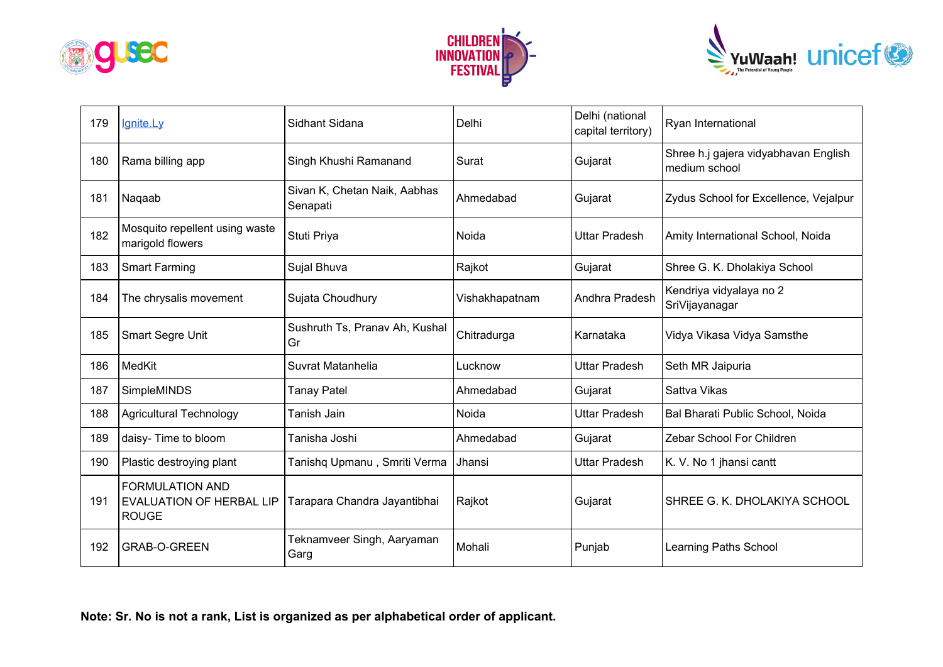





| 179 | lanite.Lv                                                                 | Sidhant Sidana                           | Delhi          | Delhi (national<br>capital territory) | Ryan International                                    |
|-----|---------------------------------------------------------------------------|------------------------------------------|----------------|---------------------------------------|-------------------------------------------------------|
| 180 | Rama billing app                                                          | Singh Khushi Ramanand                    | Surat          | Gujarat                               | Shree h.j gajera vidyabhavan English<br>medium school |
| 181 | Nagaab                                                                    | Sivan K, Chetan Naik, Aabhas<br>Senapati | Ahmedabad      | Gujarat                               | Zydus School for Excellence, Vejalpur                 |
| 182 | Mosquito repellent using waste<br>marigold flowers                        | Stuti Priya                              | Noida          | <b>Uttar Pradesh</b>                  | Amity International School, Noida                     |
| 183 | <b>Smart Farming</b>                                                      | Sujal Bhuva                              | Rajkot         | Gujarat                               | Shree G. K. Dholakiya School                          |
| 184 | The chrysalis movement                                                    | Sujata Choudhury                         | Vishakhapatnam | Andhra Pradesh                        | Kendriya vidyalaya no 2<br>SriVijayanagar             |
| 185 | Smart Segre Unit                                                          | Sushruth Ts, Pranav Ah, Kushal<br>Gr     | Chitradurga    | Karnataka                             | Vidya Vikasa Vidya Samsthe                            |
| 186 | MedKit                                                                    | Suvrat Matanhelia                        | Lucknow        | <b>Uttar Pradesh</b>                  | Seth MR Jaipuria                                      |
| 187 | SimpleMINDS                                                               | <b>Tanay Patel</b>                       | Ahmedabad      | Gujarat                               | Sattva Vikas                                          |
| 188 | <b>Agricultural Technology</b>                                            | Tanish Jain                              | Noida          | <b>Uttar Pradesh</b>                  | Bal Bharati Public School, Noida                      |
| 189 | daisy- Time to bloom                                                      | Tanisha Joshi                            | Ahmedabad      | Gujarat                               | Zebar School For Children                             |
| 190 | Plastic destroying plant                                                  | Tanishq Upmanu, Smriti Verma             | Jhansi         | <b>Uttar Pradesh</b>                  | K. V. No 1 jhansi cantt                               |
| 191 | <b>FORMULATION AND</b><br><b>EVALUATION OF HERBAL LIP</b><br><b>ROUGE</b> | Tarapara Chandra Jayantibhai             | Rajkot         | Gujarat                               | SHREE G. K. DHOLAKIYA SCHOOL                          |
| 192 | <b>GRAB-O-GREEN</b>                                                       | Teknamveer Singh, Aaryaman<br>Garg       | Mohali         | Punjab                                | Learning Paths School                                 |